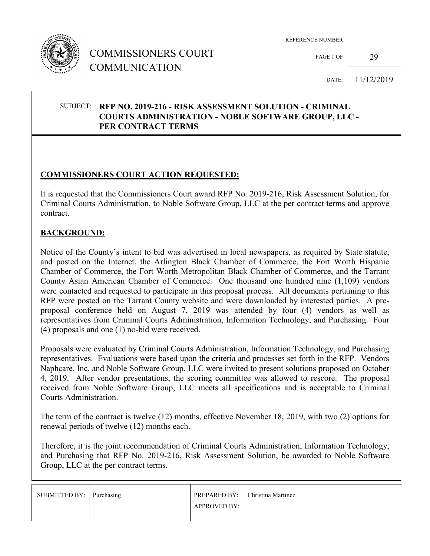

## COMMISSIONERS COURT COMMUNICATION

REFERENCE NUMBER

PAGE 1 OF 29

DATE: 11/12/2019

#### SUBJECT: **RFP NO. 2019-216 - RISK ASSESSMENT SOLUTION - CRIMINAL COURTS ADMINISTRATION - NOBLE SOFTWARE GROUP, LLC - PER CONTRACT TERMS**

## **COMMISSIONERS COURT ACTION REQUESTED:**

It is requested that the Commissioners Court award RFP No. 2019-216, Risk Assessment Solution, for Criminal Courts Administration, to Noble Software Group, LLC at the per contract terms and approve contract.

#### **BACKGROUND:**

Notice of the County's intent to bid was advertised in local newspapers, as required by State statute, and posted on the Internet, the Arlington Black Chamber of Commerce, the Fort Worth Hispanic Chamber of Commerce, the Fort Worth Metropolitan Black Chamber of Commerce, and the Tarrant County Asian American Chamber of Commerce. One thousand one hundred nine (1,109) vendors were contacted and requested to participate in this proposal process. All documents pertaining to this RFP were posted on the Tarrant County website and were downloaded by interested parties. A preproposal conference held on August 7, 2019 was attended by four (4) vendors as well as representatives from Criminal Courts Administration, Information Technology, and Purchasing. Four (4) proposals and one (1) no-bid were received.

Proposals were evaluated by Criminal Courts Administration, Information Technology, and Purchasing representatives. Evaluations were based upon the criteria and processes set forth in the RFP. Vendors Naphcare, Inc. and Noble Software Group, LLC were invited to present solutions proposed on October 4, 2019. After vendor presentations, the scoring committee was allowed to rescore. The proposal received from Noble Software Group, LLC meets all specifications and is acceptable to Criminal Courts Administration.

The term of the contract is twelve (12) months, effective November 18, 2019, with two (2) options for renewal periods of twelve (12) months each.

Therefore, it is the joint recommendation of Criminal Courts Administration, Information Technology, and Purchasing that RFP No. 2019-216, Risk Assessment Solution, be awarded to Noble Software Group, LLC at the per contract terms.

| SUBMITTED BY: Purchasing | PREPARED BY:        | Christina Martinez |
|--------------------------|---------------------|--------------------|
|                          | <b>APPROVED BY:</b> |                    |